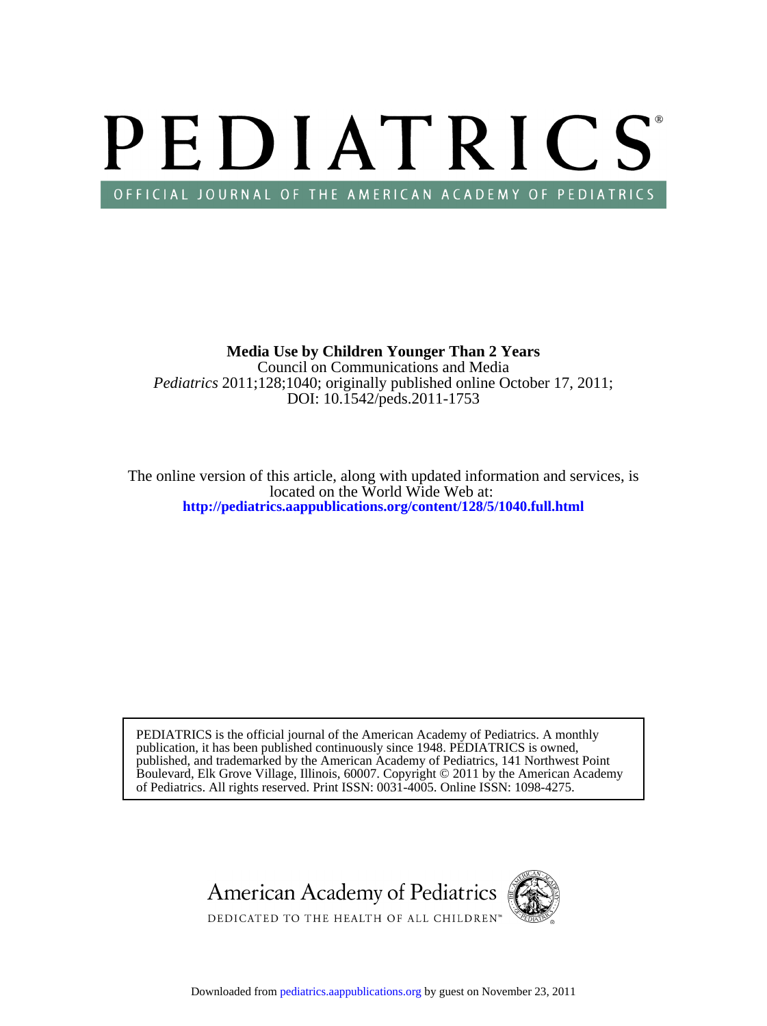# PEDIATRICS OFFICIAL JOURNAL OF THE AMERICAN ACADEMY OF PEDIATRICS

DOI: 10.1542/peds.2011-1753 *Pediatrics* 2011;128;1040; originally published online October 17, 2011; Council on Communications and Media **Media Use by Children Younger Than 2 Years**

**<http://pediatrics.aappublications.org/content/128/5/1040.full.html>** located on the World Wide Web at: The online version of this article, along with updated information and services, is

of Pediatrics. All rights reserved. Print ISSN: 0031-4005. Online ISSN: 1098-4275. Boulevard, Elk Grove Village, Illinois, 60007. Copyright © 2011 by the American Academy published, and trademarked by the American Academy of Pediatrics, 141 Northwest Point publication, it has been published continuously since 1948. PEDIATRICS is owned, PEDIATRICS is the official journal of the American Academy of Pediatrics. A monthly

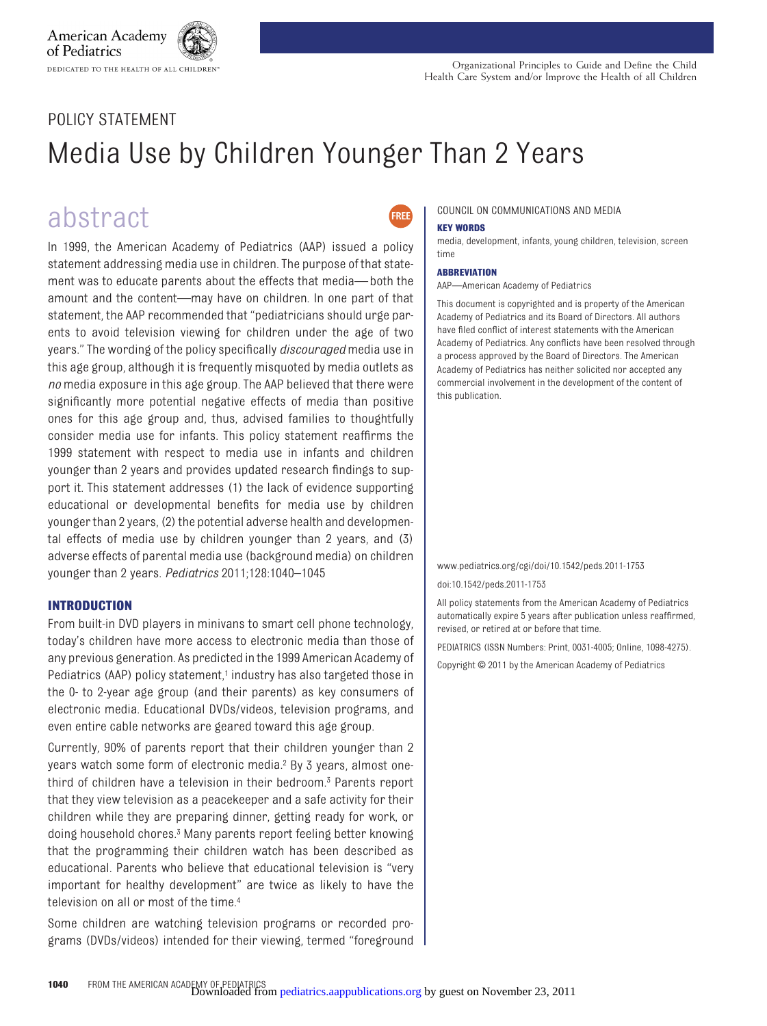## POLICY STATEMENT

DEDICATED TO THE HEALTH OF ALL CHILDREN

American Academy of Pediatrics

## Media Use by Children Younger Than 2 Years

## abstract

In 1999, the American Academy of Pediatrics (AAP) issued a policy statement addressing media use in children. The purpose of that statement was to educate parents about the effects that media—both the amount and the content—may have on children. In one part of that statement, the AAP recommended that "pediatricians should urge parents to avoid television viewing for children under the age of two years." The wording of the policy specifically *discouraged* media use in this age group, although it is frequently misquoted by media outlets as *no* media exposure in this age group. The AAP believed that there were significantly more potential negative effects of media than positive ones for this age group and, thus, advised families to thoughtfully consider media use for infants. This policy statement reaffirms the 1999 statement with respect to media use in infants and children younger than 2 years and provides updated research findings to support it. This statement addresses (1) the lack of evidence supporting educational or developmental benefits for media use by children younger than 2 years, (2) the potential adverse health and developmental effects of media use by children younger than 2 years, and (3) adverse effects of parental media use (background media) on children younger than 2 years. *Pediatrics* 2011;128:1040–1045

#### **INTRODUCTION**

From built-in DVD players in minivans to smart cell phone technology, today's children have more access to electronic media than those of any previous generation. As predicted in the 1999 American Academy of Pediatrics (AAP) policy statement,<sup>1</sup> industry has also targeted those in the 0- to 2-year age group (and their parents) as key consumers of electronic media. Educational DVDs/videos, television programs, and even entire cable networks are geared toward this age group.

Currently, 90% of parents report that their children younger than 2 years watch some form of electronic media[.2](#page-5-1) By 3 years, almost onethird of children have a television in their bedroom[.3](#page-5-2) Parents report that they view television as a peacekeeper and a safe activity for their children while they are preparing dinner, getting ready for work, or doing household chores[.3](#page-5-2) Many parents report feeling better knowing that the programming their children watch has been described as educational. Parents who believe that educational television is "very important for healthy development" are twice as likely to have the television on all or most of the time[.4](#page-5-3)

Some children are watching television programs or recorded programs (DVDs/videos) intended for their viewing, termed "foreground

### COUNCIL ON COMMUNICATIONS AND MEDIA

#### **KEY WORDS**

FRFF

media, development, infants, young children, television, screen time

#### **ABBREVIATION**

AAP—American Academy of Pediatrics

This document is copyrighted and is property of the American Academy of Pediatrics and its Board of Directors. All authors have filed conflict of interest statements with the American Academy of Pediatrics. Any conflicts have been resolved through a process approved by the Board of Directors. The American Academy of Pediatrics has neither solicited nor accepted any commercial involvement in the development of the content of this publication.

www.pediatrics.org/cgi/doi/10.1542/peds.2011-1753

doi:10.1542/peds.2011-1753

All policy statements from the American Academy of Pediatrics automatically expire 5 years after publication unless reaffirmed, revised, or retired at or before that time.

PEDIATRICS (ISSN Numbers: Print, 0031-4005; Online, 1098-4275).

Copyright © 2011 by the American Academy of Pediatrics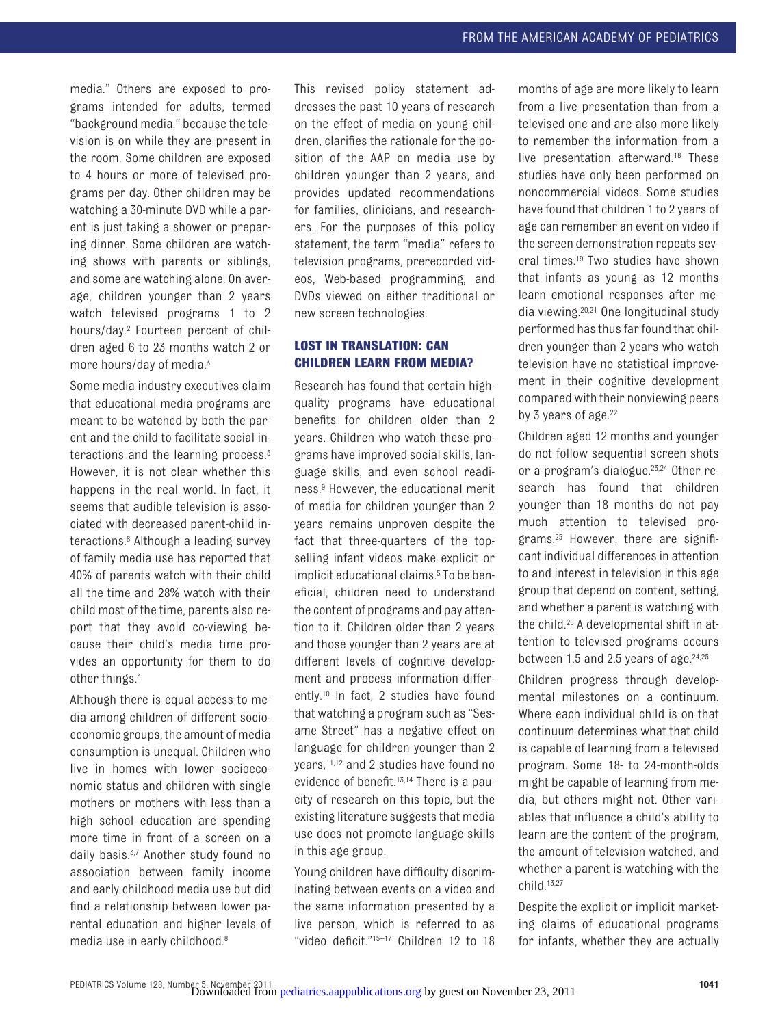media." Others are exposed to programs intended for adults, termed "background media," because the television is on while they are present in the room. Some children are exposed to 4 hours or more of televised programs per day. Other children may be watching a 30-minute DVD while a parent is just taking a shower or preparing dinner. Some children are watching shows with parents or siblings, and some are watching alone. On average, children younger than 2 years watch televised programs 1 to 2 hours/day[.2](#page-5-1) Fourteen percent of children aged 6 to 23 months watch 2 or more hours/day of media.<sup>3</sup>

Some media industry executives claim that educational media programs are meant to be watched by both the parent and the child to facilitate social interactions and the learning process.<sup>5</sup> However, it is not clear whether this happens in the real world. In fact, it seems that audible television is associated with decreased parent-child interactions[.6](#page-5-5) Although a leading survey of family media use has reported that 40% of parents watch with their child all the time and 28% watch with their child most of the time, parents also report that they avoid co-viewing because their child's media time provides an opportunity for them to do other things.<sup>3</sup>

Although there is equal access to media among children of different socioeconomic groups, the amount of media consumption is unequal. Children who live in homes with lower socioeconomic status and children with single mothers or mothers with less than a high school education are spending more time in front of a screen on a daily basis.<sup>3[,7](#page-5-6)</sup> Another study found no association between family income and early childhood media use but did find a relationship between lower parental education and higher levels of media use in early childhood[.8](#page-5-7)

This revised policy statement addresses the past 10 years of research on the effect of media on young children, clarifies the rationale for the position of the AAP on media use by children younger than 2 years, and provides updated recommendations for families, clinicians, and researchers. For the purposes of this policy statement, the term "media" refers to television programs, prerecorded videos, Web-based programming, and DVDs viewed on either traditional or new screen technologies.

#### **LOST IN TRANSLATION: CAN CHILDREN LEARN FROM MEDIA?**

Research has found that certain highquality programs have educational benefits for children older than 2 years. Children who watch these programs have improved social skills, language skills, and even school readiness[.9](#page-5-8) However, the educational merit of media for children younger than 2 years remains unproven despite the fact that three-quarters of the topselling infant videos make explicit or implicit educational claims.<sup>5</sup> To be beneficial, children need to understand the content of programs and pay attention to it. Children older than 2 years and those younger than 2 years are at different levels of cognitive development and process information differently[.10](#page-5-9) In fact, 2 studies have found that watching a program such as "Sesame Street" has a negative effect on language for children younger than 2 years[,11](#page-5-10)[,12](#page-5-11) and 2 studies have found no evidence of benefit[.13](#page-5-12)[,14](#page-5-13) There is a paucity of research on this topic, but the existing literature suggests that media use does not promote language skills in this age group.

Young children have difficulty discriminating between events on a video and the same information presented by a live person, which is referred to as "video deficit.["15](#page-5-14)[–17](#page-5-15) Children 12 to 18

months of age are more likely to learn from a live presentation than from a televised one and are also more likely to remember the information from a live presentation afterward[.18](#page-5-16) These studies have only been performed on noncommercial videos. Some studies have found that children 1 to 2 years of age can remember an event on video if the screen demonstration repeats several times.<sup>19</sup> Two studies have shown that infants as young as 12 months learn emotional responses after media viewing[.20,](#page-5-18)[21](#page-5-19) One longitudinal study performed has thus far found that children younger than 2 years who watch television have no statistical improvement in their cognitive development compared with their nonviewing peers by 3 years of age. $22$ 

Children aged 12 months and younger do not follow sequential screen shots or a program's dialogue[.23,](#page-5-21)[24](#page-5-22) Other research has found that children younger than 18 months do not pay much attention to televised programs[.25](#page-5-23) However, there are significant individual differences in attention to and interest in television in this age group that depend on content, setting, and whether a parent is watching with the child[.26](#page-5-24) A developmental shift in attention to televised programs occurs between 1.5 and 2.5 years of age. $24,25$  $24,25$ 

Children progress through developmental milestones on a continuum. Where each individual child is on that continuum determines what that child is capable of learning from a televised program. Some 18- to 24-month-olds might be capable of learning from media, but others might not. Other variables that influence a child's ability to learn are the content of the program, the amount of television watched, and whether a parent is watching with the child[.13,](#page-5-12)[27](#page-5-25)

Despite the explicit or implicit marketing claims of educational programs for infants, whether they are actually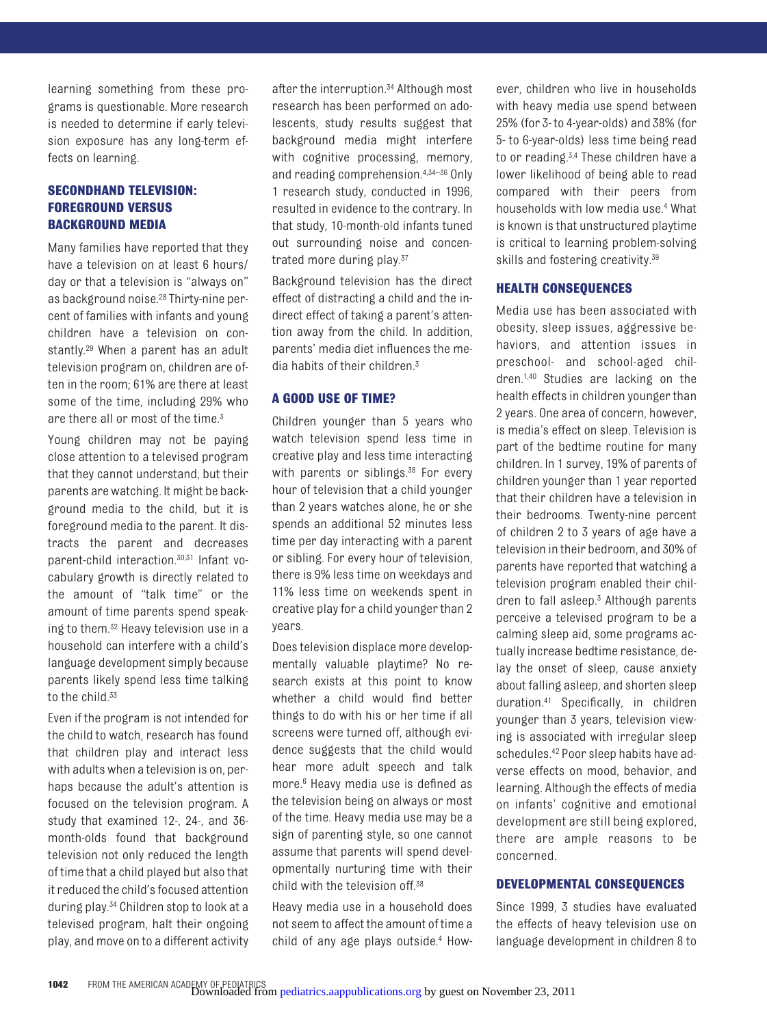learning something from these programs is questionable. More research is needed to determine if early television exposure has any long-term effects on learning.

#### **SECONDHAND TELEVISION: FOREGROUND VERSUS BACKGROUND MEDIA**

Many families have reported that they have a television on at least 6 hours/ day or that a television is "always on" as background noise[.28](#page-6-0) Thirty-nine percent of families with infants and young children have a television on constantly.<sup>29</sup> When a parent has an adult television program on, children are often in the room; 61% are there at least some of the time, including 29% who are there all or most of the time.<sup>3</sup>

Young children may not be paying close attention to a televised program that they cannot understand, but their parents are watching. It might be background media to the child, but it is foreground media to the parent. It distracts the parent and decreases parent-child interaction[.30,](#page-6-2)[31](#page-6-3) Infant vocabulary growth is directly related to the amount of "talk time" or the amount of time parents spend speaking to them[.32](#page-6-4) Heavy television use in a household can interfere with a child's language development simply because parents likely spend less time talking to the child.<sup>33</sup>

Even if the program is not intended for the child to watch, research has found that children play and interact less with adults when a television is on, perhaps because the adult's attention is focused on the television program. A study that examined 12-, 24-, and 36 month-olds found that background television not only reduced the length of time that a child played but also that it reduced the child's focused attention during play[.34](#page-6-6) Children stop to look at a televised program, halt their ongoing play, and move on to a different activity

after the interruption.<sup>34</sup> Although most research has been performed on adolescents, study results suggest that background media might interfere with cognitive processing, memory, and reading comprehension[.4](#page-5-3)[,34](#page-6-6)[–36](#page-6-7) Only 1 research study, conducted in 1996, resulted in evidence to the contrary. In that study, 10-month-old infants tuned out surrounding noise and concentrated more during play[.37](#page-6-8)

Background television has the direct effect of distracting a child and the indirect effect of taking a parent's attention away from the child. In addition, parents' media diet influences the media habits of their children[.3](#page-5-2)

#### **A GOOD USE OF TIME?**

Children younger than 5 years who watch television spend less time in creative play and less time interacting with parents or siblings. $38$  For every hour of television that a child younger than 2 years watches alone, he or she spends an additional 52 minutes less time per day interacting with a parent or sibling. For every hour of television, there is 9% less time on weekdays and 11% less time on weekends spent in creative play for a child younger than 2 years.

Does television displace more developmentally valuable playtime? No research exists at this point to know whether a child would find better things to do with his or her time if all screens were turned off, although evidence suggests that the child would hear more adult speech and talk more[.6](#page-5-5) Heavy media use is defined as the television being on always or most of the time. Heavy media use may be a sign of parenting style, so one cannot assume that parents will spend developmentally nurturing time with their child with the television off.<sup>38</sup>

Heavy media use in a household does not seem to affect the amount of time a child of any age plays outside[.4](#page-5-3) However, children who live in households with heavy media use spend between 25% (for 3- to 4-year-olds) and 38% (for 5- to 6-year-olds) less time being read to or reading[.3,](#page-5-2)[4](#page-5-3) These children have a lower likelihood of being able to read compared with their peers from households with low media use[.4](#page-5-3) What is known is that unstructured playtime is critical to learning problem-solving skills and fostering creativity[.39](#page-6-10)

#### **HEALTH CONSEQUENCES**

Media use has been associated with obesity, sleep issues, aggressive behaviors, and attention issues in preschool- and school-aged children[.1,](#page-5-0)[40](#page-6-11) Studies are lacking on the health effects in children younger than 2 years. One area of concern, however, is media's effect on sleep. Television is part of the bedtime routine for many children. In 1 survey, 19% of parents of children younger than 1 year reported that their children have a television in their bedrooms. Twenty-nine percent of children 2 to 3 years of age have a television in their bedroom, and 30% of parents have reported that watching a television program enabled their children to fall asleep[.3](#page-5-2) Although parents perceive a televised program to be a calming sleep aid, some programs actually increase bedtime resistance, delay the onset of sleep, cause anxiety about falling asleep, and shorten sleep duration[.41](#page-6-12) Specifically, in children younger than 3 years, television viewing is associated with irregular sleep schedules[.42](#page-6-13) Poor sleep habits have adverse effects on mood, behavior, and learning. Although the effects of media on infants' cognitive and emotional development are still being explored, there are ample reasons to be concerned.

#### **DEVELOPMENTAL CONSEQUENCES**

Since 1999, 3 studies have evaluated the effects of heavy television use on language development in children 8 to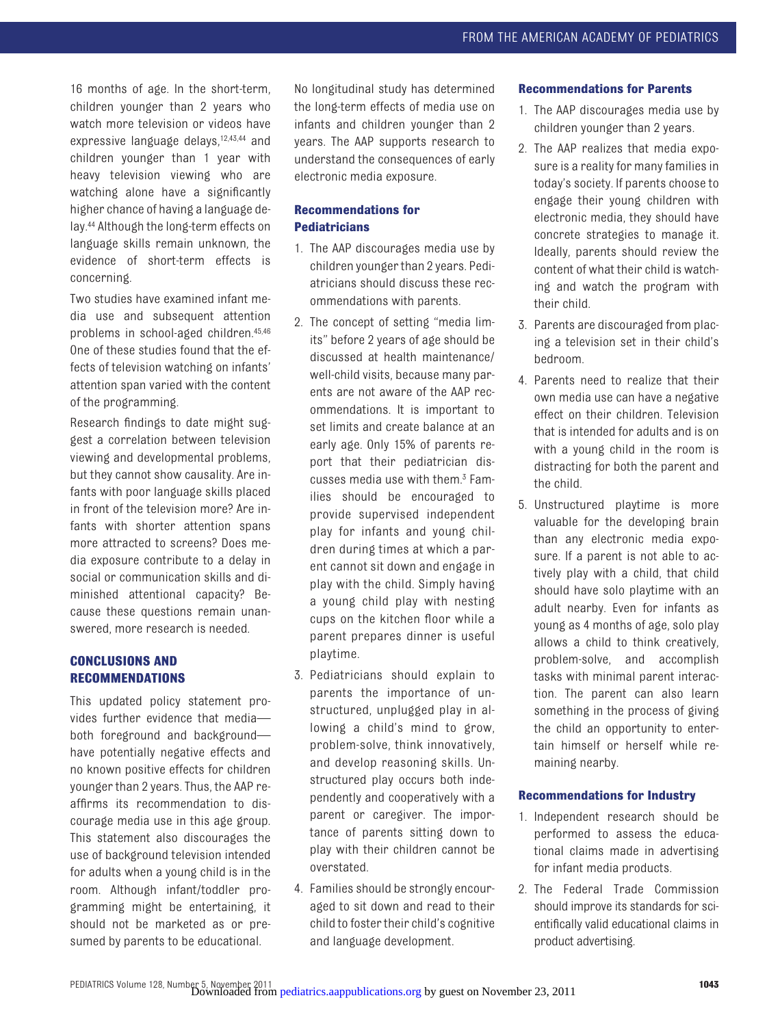16 months of age. In the short-term, children younger than 2 years who watch more television or videos have expressive language delays[,12,](#page-5-11)[43,](#page-6-14)[44](#page-6-15) and children younger than 1 year with heavy television viewing who are watching alone have a significantly higher chance of having a language delay[.44](#page-6-15) Although the long-term effects on language skills remain unknown, the evidence of short-term effects is concerning.

Two studies have examined infant media use and subsequent attention problems in school-aged children[.45](#page-6-16)[,46](#page-6-17) One of these studies found that the effects of television watching on infants' attention span varied with the content of the programming.

Research findings to date might suggest a correlation between television viewing and developmental problems, but they cannot show causality. Are infants with poor language skills placed in front of the television more? Are infants with shorter attention spans more attracted to screens? Does media exposure contribute to a delay in social or communication skills and diminished attentional capacity? Because these questions remain unanswered, more research is needed.

#### **CONCLUSIONS AND RECOMMENDATIONS**

This updated policy statement provides further evidence that media both foreground and background have potentially negative effects and no known positive effects for children younger than 2 years. Thus, the AAP reaffirms its recommendation to discourage media use in this age group. This statement also discourages the use of background television intended for adults when a young child is in the room. Although infant/toddler programming might be entertaining, it should not be marketed as or presumed by parents to be educational.

No longitudinal study has determined the long-term effects of media use on infants and children younger than 2 years. The AAP supports research to understand the consequences of early electronic media exposure.

#### **Recommendations for Pediatricians**

- 1. The AAP discourages media use by children younger than 2 years. Pediatricians should discuss these recommendations with parents.
- 2. The concept of setting "media limits" before 2 years of age should be discussed at health maintenance/ well-child visits, because many parents are not aware of the AAP recommendations. It is important to set limits and create balance at an early age. Only 15% of parents report that their pediatrician discusses media use with them[.3](#page-5-2) Families should be encouraged to provide supervised independent play for infants and young children during times at which a parent cannot sit down and engage in play with the child. Simply having a young child play with nesting cups on the kitchen floor while a parent prepares dinner is useful playtime.
- 3. Pediatricians should explain to parents the importance of unstructured, unplugged play in allowing a child's mind to grow, problem-solve, think innovatively, and develop reasoning skills. Unstructured play occurs both independently and cooperatively with a parent or caregiver. The importance of parents sitting down to play with their children cannot be overstated.
- 4. Families should be strongly encouraged to sit down and read to their child to foster their child's cognitive and language development.

#### **Recommendations for Parents**

- 1. The AAP discourages media use by children younger than 2 years.
- 2. The AAP realizes that media exposure is a reality for many families in today's society. If parents choose to engage their young children with electronic media, they should have concrete strategies to manage it. Ideally, parents should review the content of what their child is watching and watch the program with their child.
- 3. Parents are discouraged from placing a television set in their child's bedroom.
- 4. Parents need to realize that their own media use can have a negative effect on their children. Television that is intended for adults and is on with a young child in the room is distracting for both the parent and the child.
- 5. Unstructured playtime is more valuable for the developing brain than any electronic media exposure. If a parent is not able to actively play with a child, that child should have solo playtime with an adult nearby. Even for infants as young as 4 months of age, solo play allows a child to think creatively, problem-solve, and accomplish tasks with minimal parent interaction. The parent can also learn something in the process of giving the child an opportunity to entertain himself or herself while remaining nearby.

#### **Recommendations for Industry**

- 1. Independent research should be performed to assess the educational claims made in advertising for infant media products.
- 2. The Federal Trade Commission should improve its standards for scientifically valid educational claims in product advertising.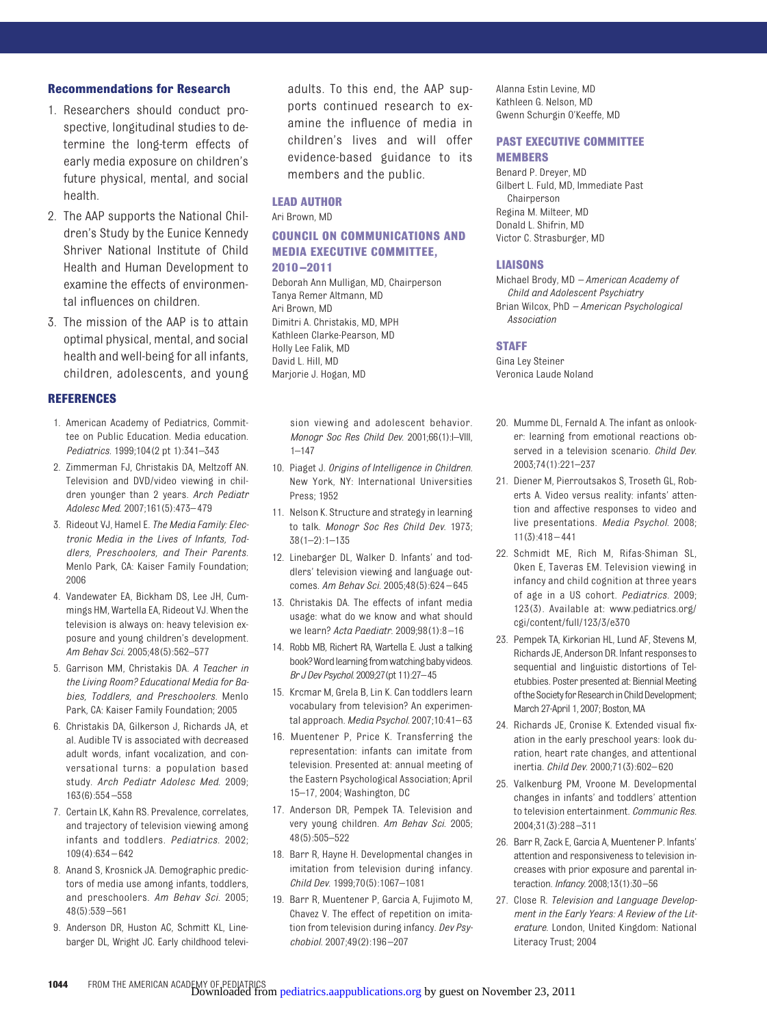#### **Recommendations for Research**

- 1. Researchers should conduct prospective, longitudinal studies to determine the long-term effects of early media exposure on children's future physical, mental, and social health.
- 2. The AAP supports the National Children's Study by the Eunice Kennedy Shriver National Institute of Child Health and Human Development to examine the effects of environmental influences on children.
- 3. The mission of the AAP is to attain optimal physical, mental, and social health and well-being for all infants, children, adolescents, and young

#### **REFERENCES**

- <span id="page-5-0"></span>1. American Academy of Pediatrics, Committee on Public Education. Media education. *Pediatrics*. 1999;104(2 pt 1):341–343
- <span id="page-5-1"></span>2. Zimmerman FJ, Christakis DA, Meltzoff AN. Television and DVD/video viewing in children younger than 2 years. *Arch Pediatr Adolesc Med*. 2007;161(5):473– 479
- <span id="page-5-2"></span>3. Rideout VJ, Hamel E. *The Media Family: Electronic Media in the Lives of Infants, Toddlers, Preschoolers, and Their Parents*. Menlo Park, CA: Kaiser Family Foundation; 2006
- <span id="page-5-3"></span>4. Vandewater EA, Bickham DS, Lee JH, Cummings HM, Wartella EA, Rideout VJ. When the television is always on: heavy television exposure and young children's development. *Am Behav Sci*. 2005;48(5):562–577
- <span id="page-5-4"></span>5. Garrison MM, Christakis DA. *A Teacher in the Living Room? Educational Media for Babies, Toddlers, and Preschoolers*. Menlo Park, CA: Kaiser Family Foundation; 2005
- <span id="page-5-5"></span>6. Christakis DA, Gilkerson J, Richards JA, et al. Audible TV is associated with decreased adult words, infant vocalization, and conversational turns: a population based study. *Arch Pediatr Adolesc Med*. 2009; 163(6):554 –558
- <span id="page-5-6"></span>7. Certain LK, Kahn RS. Prevalence, correlates, and trajectory of television viewing among infants and toddlers. *Pediatrics*. 2002;  $109(1)$  $.634 - 642$
- <span id="page-5-7"></span>8. Anand S, Krosnick JA. Demographic predictors of media use among infants, toddlers, and preschoolers. *Am Behav Sci*. 2005; 48(5):539 –561
- <span id="page-5-8"></span>9. Anderson DR, Huston AC, Schmitt KL, Linebarger DL, Wright JC. Early childhood televi-

adults. To this end, the AAP supports continued research to examine the influence of media in children's lives and will offer evidence-based guidance to its members and the public.

#### **LEAD AUTHOR**

Ari Brown, MD

#### **COUNCIL ON COMMUNICATIONS AND MEDIA EXECUTIVE COMMITTEE, 2010 –2011**

Deborah Ann Mulligan, MD, Chairperson Tanya Remer Altmann, MD Ari Brown, MD Dimitri A. Christakis, MD, MPH Kathleen Clarke-Pearson, MD Holly Lee Falik, MD David L. Hill, MD Marjorie J. Hogan, MD

sion viewing and adolescent behavior. *Monogr Soc Res Child Dev*. 2001;66(1):I–VIII, 1–147

- <span id="page-5-9"></span>10. Piaget J. *Origins of Intelligence in Children*. New York, NY: International Universities Press; 1952
- <span id="page-5-10"></span>11. Nelson K. Structure and strategy in learning to talk. *Monogr Soc Res Child Dev*. 1973; 38(1–2):1–135
- <span id="page-5-11"></span>12. Linebarger DL, Walker D. Infants' and toddlers' television viewing and language outcomes. *Am Behav Sci*. 2005;48(5):624 – 645
- <span id="page-5-12"></span>13. Christakis DA. The effects of infant media usage: what do we know and what should we learn? *Acta Paediatr*. 2009;98(1):8 –16
- <span id="page-5-13"></span>14. Robb MB, Richert RA, Wartella E. Just a talking book? Word learning from watching baby videos. *Br J Dev Psychol*. 2009;27(pt 11):27–45
- <span id="page-5-14"></span>15. Krcmar M, Grela B, Lin K. Can toddlers learn vocabulary from television? An experimental approach.*Media Psychol*. 2007;10:41– 63
- 16. Muentener P, Price K. Transferring the representation: infants can imitate from television. Presented at: annual meeting of the Eastern Psychological Association; April 15–17, 2004; Washington, DC
- <span id="page-5-15"></span>17. Anderson DR, Pempek TA. Television and very young children. *Am Behav Sci*. 2005; 48(5):505–522
- <span id="page-5-16"></span>18. Barr R, Hayne H. Developmental changes in imitation from television during infancy. *Child Dev*. 1999;70(5):1067–1081
- <span id="page-5-17"></span>19. Barr R, Muentener P, Garcia A, Fujimoto M, Chavez V. The effect of repetition on imitation from television during infancy. *Dev Psychobiol*. 2007;49(2):196 –207

Alanna Estin Levine, MD Kathleen G. Nelson, MD Gwenn Schurgin O'Keeffe, MD

#### **PAST EXECUTIVE COMMITTEE MEMBERS**

Benard P. Dreyer, MD Gilbert L. Fuld, MD, Immediate Past Chairperson Regina M. Milteer, MD Donald L. Shifrin, MD Victor C. Strasburger, MD

#### **LIAISONS**

Michael Brody, MD *– American Academy of Child and Adolescent Psychiatry* Brian Wilcox, PhD *– American Psychological Association*

#### **STAFF**

Gina Ley Steiner Veronica Laude Noland

- <span id="page-5-18"></span>20. Mumme DL, Fernald A. The infant as onlooker: learning from emotional reactions observed in a television scenario. *Child Dev*. 2003;74(1):221–237
- <span id="page-5-19"></span>21. Diener M, Pierroutsakos S, Troseth GL, Roberts A. Video versus reality: infants' attention and affective responses to video and live presentations. *Media Psychol*. 2008;  $11(3)$ :418 – 441
- <span id="page-5-20"></span>22. Schmidt ME, Rich M, Rifas-Shiman SL, Oken E, Taveras EM. Television viewing in infancy and child cognition at three years of age in a US cohort. *Pediatrics*. 2009; 123(3). Available at: [www.pediatrics.org/](www.pediatrics.org/cgi/content/full/123/3/e370) [cgi/content/full/123/3/e370](www.pediatrics.org/cgi/content/full/123/3/e370)
- <span id="page-5-21"></span>23. Pempek TA, Kirkorian HL, Lund AF, Stevens M, Richards JE, Anderson DR. Infant responsesto sequential and linguistic distortions of Teletubbies. Poster presented at: Biennial Meeting of the Society for Research in Child Development: March 27-April 1, 2007; Boston, MA
- <span id="page-5-22"></span>24. Richards JE, Cronise K. Extended visual fixation in the early preschool years: look duration, heart rate changes, and attentional inertia. *Child Dev*. 2000;71(3):602– 620
- <span id="page-5-23"></span>25. Valkenburg PM, Vroone M. Developmental changes in infants' and toddlers' attention to television entertainment. *Communic Res*. 2004;31(3):288 –311
- <span id="page-5-24"></span>26. Barr R, Zack E, Garcia A, Muentener P. Infants' attention and responsiveness to television increases with prior exposure and parental interaction. *Infancy*. 2008;13(1):30 –56
- <span id="page-5-25"></span>27. Close R. *Television and Language Development in the Early Years: A Review of the Literature*. London, United Kingdom: National Literacy Trust; 2004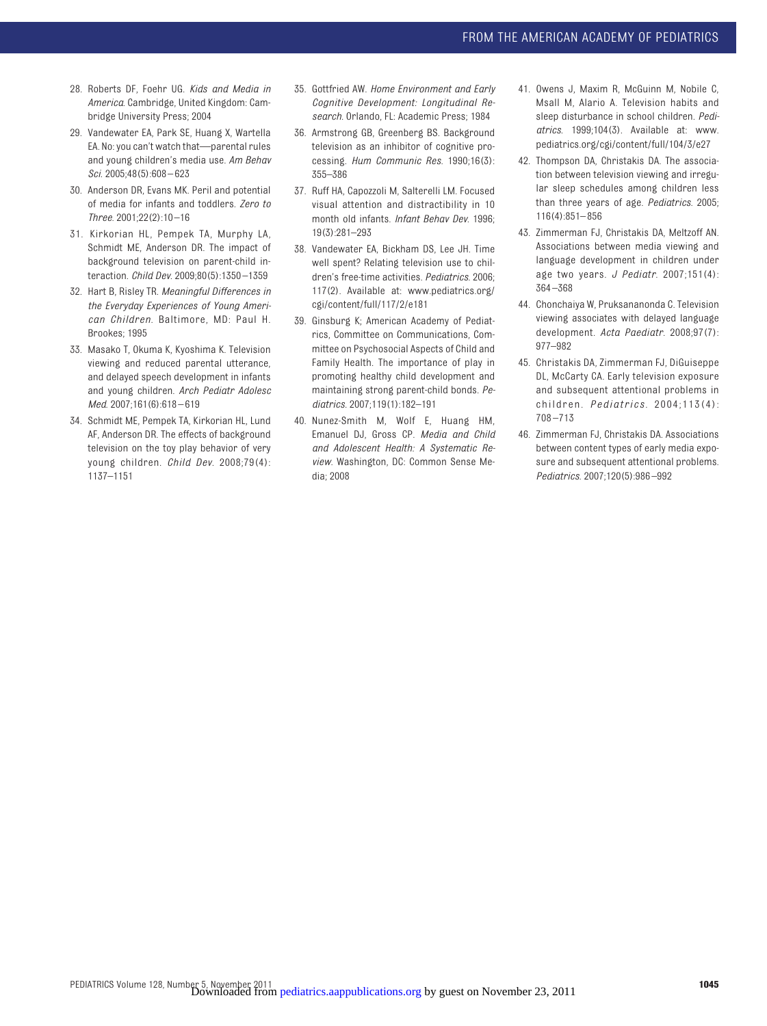- <span id="page-6-0"></span>28. Roberts DF, Foehr UG. *Kids and Media in America*. Cambridge, United Kingdom: Cambridge University Press; 2004
- <span id="page-6-1"></span>29. Vandewater EA, Park SE, Huang X, Wartella EA. No: you can't watch that—parental rules and young children's media use. *Am Behav Sci*. 2005;48(5):608 – 623
- <span id="page-6-2"></span>30. Anderson DR, Evans MK. Peril and potential of media for infants and toddlers. *Zero to Three*. 2001;22(2):10 –16
- <span id="page-6-3"></span>31. Kirkorian HL, Pempek TA, Murphy LA, Schmidt ME, Anderson DR. The impact of background television on parent-child interaction. *Child Dev*. 2009;80(5):1350 –1359
- <span id="page-6-4"></span>32. Hart B, Risley TR. *Meaningful Differences in the Everyday Experiences of Young American Children*. Baltimore, MD: Paul H. Brookes; 1995
- <span id="page-6-5"></span>33. Masako T, Okuma K, Kyoshima K. Television viewing and reduced parental utterance, and delayed speech development in infants and young children. *Arch Pediatr Adolesc Med*. 2007;161(6):618 – 619
- <span id="page-6-6"></span>34. Schmidt ME, Pempek TA, Kirkorian HL, Lund AF, Anderson DR. The effects of background television on the toy play behavior of very young children. *Child Dev*. 2008;79(4): 1137–1151
- 35. Gottfried AW. *Home Environment and Early Cognitive Development: Longitudinal Research*. Orlando, FL: Academic Press; 1984
- <span id="page-6-7"></span>36. Armstrong GB, Greenberg BS. Background television as an inhibitor of cognitive processing. *Hum Communic Res*. 1990;16(3): 355–386
- <span id="page-6-8"></span>37. Ruff HA, Capozzoli M, Salterelli LM. Focused visual attention and distractibility in 10 month old infants. *Infant Behav Dev*. 1996; 19(3):281–293
- <span id="page-6-9"></span>38. Vandewater EA, Bickham DS, Lee JH. Time well spent? Relating television use to children's free-time activities. *Pediatrics*. 2006; 117(2). Available at: [www.pediatrics.org/](www.pediatrics.org/cgi/content/full/117/2/e181) [cgi/content/full/117/2/e181](www.pediatrics.org/cgi/content/full/117/2/e181)
- <span id="page-6-10"></span>39. Ginsburg K; American Academy of Pediatrics, Committee on Communications, Committee on Psychosocial Aspects of Child and Family Health. The importance of play in promoting healthy child development and maintaining strong parent-child bonds. *Pediatrics*. 2007;119(1):182–191
- <span id="page-6-11"></span>40. Nunez-Smith M, Wolf E, Huang HM, Emanuel DJ, Gross CP. *Media and Child and Adolescent Health: A Systematic Review*. Washington, DC: Common Sense Media; 2008
- <span id="page-6-12"></span>41. Owens J, Maxim R, McGuinn M, Nobile C, Msall M, Alario A. Television habits and sleep disturbance in school children. *Pediatrics*. 1999;104(3). Available at: [www.](www.pediatrics.org/cgi/content/full/104/3/e27) [pediatrics.org/cgi/content/full/104/3/e27](www.pediatrics.org/cgi/content/full/104/3/e27)
- <span id="page-6-13"></span>42. Thompson DA, Christakis DA. The association between television viewing and irregular sleep schedules among children less than three years of age. *Pediatrics*. 2005; 116(4):851– 856
- <span id="page-6-14"></span>43. Zimmerman FJ, Christakis DA, Meltzoff AN. Associations between media viewing and language development in children under age two years. *J Pediatr*. 2007;151(4): 364 –368
- <span id="page-6-15"></span>44. Chonchaiya W, Pruksananonda C. Television viewing associates with delayed language development. *Acta Paediatr*. 2008;97(7): 977–982
- <span id="page-6-16"></span>45. Christakis DA, Zimmerman FJ, DiGuiseppe DL, McCarty CA. Early television exposure and subsequent attentional problems in children. *Pediatrics* . 2004;113(4): 708 –713
- <span id="page-6-17"></span>46. Zimmerman FJ, Christakis DA. Associations between content types of early media exposure and subsequent attentional problems. *Pediatrics*. 2007;120(5):986 –992